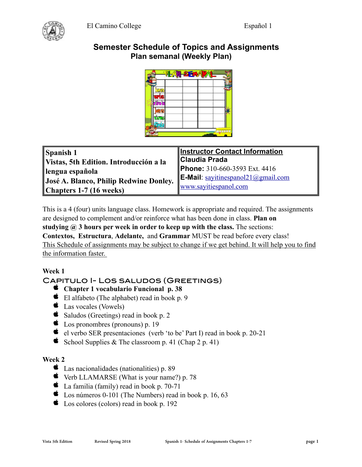

# **Semester Schedule of Topics and Assignments Plan semanal (Weekly Plan)**

| × |  |  |  |
|---|--|--|--|
|   |  |  |  |
|   |  |  |  |
|   |  |  |  |
|   |  |  |  |
|   |  |  |  |
|   |  |  |  |
|   |  |  |  |
|   |  |  |  |

| <b>Spanish 1</b>                       | <b>Instructor Contact Information</b>     |  |
|----------------------------------------|-------------------------------------------|--|
| Vistas, 5th Edition. Introducción a la | Claudia Prada                             |  |
| lengua española                        | Phone: 310-660-3593 Ext. 4416             |  |
| José A. Blanco, Philip Redwine Donley. | <b>E-Mail:</b> sayitinespanol21@gmail.com |  |
| <b>Chapters 1-7 (16 weeks)</b>         | www.sayitiespanol.com                     |  |

This is a 4 (four) units language class. Homework is appropriate and required. The assignments are designed to complement and/or reinforce what has been done in class. **Plan on studying @ 3 hours per week in order to keep up with the class.** The sections: **Contextos, Estructura**, **Adelante,** and **Grammar** MUST be read before every class! This Schedule of assignments may be subject to change if we get behind. It will help you to find the information faster.

# **Week 1**

# Capitulo I- Los saludos (Greetings)

- **Chapter 1 vocabulario Funcional p. 38**
- El alfabeto (The alphabet) read in book p. 9
- Las vocales (Vowels)
- $\bullet$  Saludos (Greetings) read in book p. 2
- **C** Los pronombres (pronouns) p. 19
- el verbo SER presentaciones (verb 'to be' Part I) read in book p. 20-21
- School Supplies & The classroom p. 41 (Chap 2 p. 41)

### **Week 2**

- Las nacionalidades (nationalities) p. 89
- Verb LLAMARSE (What is your name?) p. 78
- $\bullet$  La familia (family) read in book p. 70-71
- $\bullet$  Los números 0-101 (The Numbers) read in book p. 16, 63
- Los colores (colors) read in book p. 192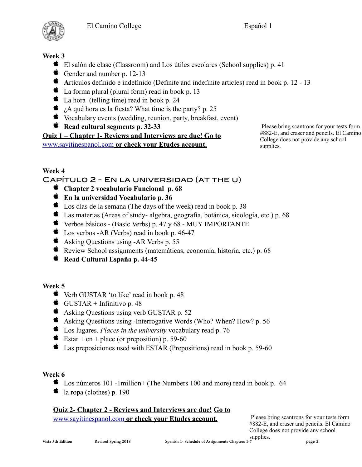

# **Week 3**

- El salón de clase (Classroom) and Los útiles escolares (School supplies) p. 41
- Gender and number p. 12-13
- **A**rtículos definido e indefinido (Definite and indefinite articles) read in book p. 12 13
- $\bullet$  La forma plural (plural form) read in book p. 13
- $\bullet$  La hora (telling time) read in book p. 24
- $\bullet$  *i.A qué hora es la fiesta?* What time is the party? p. 25
- Vocabulary events (wedding, reunion, party, breakfast, event)
- **K** Read cultural segments p. 32-33

**Quiz 1 – Chapter 1- Reviews and Interviews are due! Go to**  [www.sayitinespanol.com](http://www.sayitinespanol.com) **or check your Etudes account.** 

 Please bring scantrons for your tests form #882-E, and eraser and pencils. El Camino College does not provide any school supplies.

# **Week 4**

# Capítulo 2 - En la universidad (at the u)

- **Chapter 2 vocabulario Funcional p. 68**
- **En la universidad Vocabulario p. 36**
- Los días de la semana (The days of the week) read in book p. 38
- $\bullet$  Las materias (Areas of study-algebra, geografía, botánica, sicología, etc.) p. 68
- $\bullet$  Verbos básicos (Basic Verbs) p. 47 y 68 MUY IMPORTANTE
- **C** Los verbos -AR (Verbs) read in book p. 46-47
- Asking Questions using -AR Verbs p. 55
- Review School assignments (matemáticas, economía, historia, etc.) p. 68
- **K** Read Cultural España p. 44-45

### **Week 5**

- Verb GUSTAR 'to like' read in book p. 48
- GUSTAR + Infinitivo p. 48
- Asking Questions using verb GUSTAR p. 52
- Asking Questions using -Interrogative Words (Who? When? How? p. 56
- Los lugares. *Places in the university* vocabulary read p. 76
- Estar + en + place (or preposition) p. 59-60
- Las preposiciones used with ESTAR (Prepositions) read in book p. 59-60

### **Week 6**

- $\bullet$  Los números 101 -1million+ (The Numbers 100 and more) read in book p. 64
- $\bullet$  la ropa (clothes) p. 190

### **Quiz 2- Chapter 2 - Reviews and Interviews are due! Go to**  [www.sayitinespanol.com](http://www.sayitinespanol.com) **or check your Etudes account.**

 Please bring scantrons for your tests form #882-E, and eraser and pencils. El Camino College does not provide any school supplies.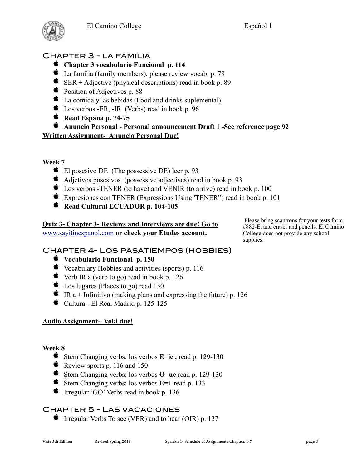

# Chapter 3 - la familia

- **Chapter 3 vocabulario Funcional p. 114**
- La familia (family members), please review vocab. p. 78
- $\bullet$  SER + Adjective (physical descriptions) read in book p. 89
- position of Adjectives p. 88
- $\bullet$  La comida y las bebidas (Food and drinks suplemental)
- Cos verbos -ER, -IR (Verbs) read in book p. 96
- **Read España p. 74-75**

### **Anuncio Personal - Personal announcement Draft 1 -See reference page 92 Written Assignment- Anuncio Personal Due!**

**Week 7** 

- El posesivo DE (The possessive DE) leer p. 93
- Adjetivos posesivos (possessive adjectives) read in book p. 93
- Los verbos -TENER (to have) and VENIR (to arrive) read in book p. 100
- Expresiones con TENER (Expressions Using 'TENER") read in book p. 101
- **K** Read Cultural ECUADOR p. 104-105

#### **Quiz 3- Chapter 3- Reviews and Interviews are due! Go to**  [www.sayitinespanol.com](http://www.sayitinespanol.com) **or check your Etudes account.**

 Please bring scantrons for your tests form #882-E, and eraser and pencils. El Camino College does not provide any school supplies.

# Chapter 4- Los pasatiempos (hobbies)

- **Vocabulario Funcional p. 150**
- $\bullet$  Vocabulary Hobbies and activities (sports) p. 116
- $\bullet$  Verb IR a (verb to go) read in book p. 126
- ts Los lugares (Places to go) read 150
- $\bullet$  IR a + Infinitivo (making plans and expressing the future) p. 126
- Cultura El Real Madrid p. 125-125

### **Audio Assignment- Voki due!**

### **Week 8**

- Stem Changing verbs: los verbos **E=ie ,** read p. 129-130
- Review sports p. 116 and 150
- Stem Changing verbs: los verbos **O=ue** read p. 129-130
- Stem Changing verbs: los verbos **E=i** read p. 133
- $\bullet$  Irregular 'GO' Verbs read in book p. 136

# Chapter 5 - Las vacaciones

 $\bullet$  Irregular Verbs To see (VER) and to hear (OIR) p. 137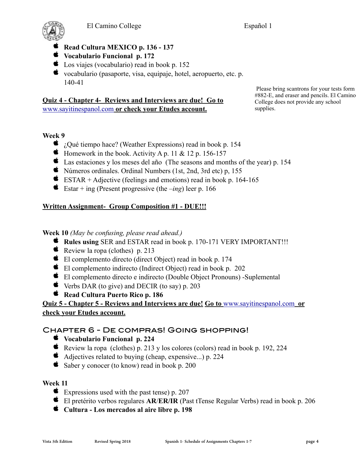



- **Read Cultura MEXICO p. 136 137**
- **Vocabulario Funcional p. 172**
- Los viajes (vocabulario) read in book p. 152
- vocabulario (pasaporte, visa, equipaje, hotel, aeropuerto, etc. p. 140-41

### **Quiz 4 - Chapter 4- Reviews and Interviews are due! Go to**  [www.sayitinespanol.com](http://www.sayitinespanol.com) **or check your Etudes account.**

 Please bring scantrons for your tests form #882-E, and eraser and pencils. El Camino College does not provide any school supplies.

### **Week 9**

- $\bullet$  *i*. Qué tiempo hace? (Weather Expressions) read in book p. 154
- $\bullet$  Homework in the book. Activity A p. 11 & 12 p. 156-157
- Las estaciones y los meses del año (The seasons and months of the year) p. 154
- Números ordinales. Ordinal Numbers (1st, 2nd, 3rd etc) p, 155
- $\bullet$  ESTAR + Adjective (feelings and emotions) read in book p. 164-165
- Estar + ing (Present progressive (the  $-$ *ing*) leer p. 166

## **Written Assignment- Group Composition #1 - DUE!!!**

**Week 10** *(May be confusing, please read ahead.)*

- **Rules using** SER and ESTAR read in book p. 170-171 VERY IMPORTANT!!!
- Review la ropa (clothes) p. 213
- El complemento directo (direct Object) read in book p. 174
- El complemento indirecto (Indirect Object) read in book p. 202
- El complemento directo e indirecto (Double Object Pronouns) -Suplemental
- $\bullet$  Verbs DAR (to give) and DECIR (to say) p. 203
- **K** Read Cultura Puerto Rico p. 186

**Quiz 5 - Chapter 5 - Reviews and Interviews are due! Go to** [www.sayitinespanol.com](http://www.sayitinespanol.com) **or check your Etudes account.** 

# Chapter 6 - De compras! Going shopping!

- **Vocabulario Funcional p. 224**
- Review la ropa (clothes) p. 213 y los colores (colors) read in book p. 192, 224
- Adjectives related to buying (cheap, expensive...) p. 224
- Saber y conocer (to know) read in book p. 200

### **Week 11**

- Expressions used with the past tense) p.  $207$
- El pretérito verbos regulares **AR**/**ER/IR** (Past tTense Regular Verbs) read in book p. 206
- **Cultura Los mercados al aire libre p. 198**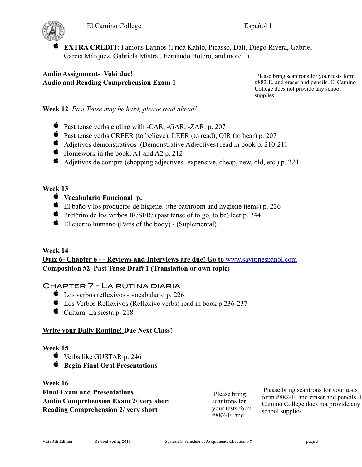

 **EXTRA CREDIT:** Famous Latinos (Frida Kahlo, Picasso, Dalí, Diego Rivera, Gabriel García Márquez, Gabriela Mistral, Fernando Botero, and more...)

**Audio Assignment- Voki due! Audio and Reading Comprehension Exam 1** 

 Please bring scantrons for your tests form #882-E, and eraser and pencils. El Camino College does not provide any school supplies.

**Week 12** *Past Tense may be hard, please read ahead!*

- Past tense verbs ending with -CAR, -GAR, -ZAR. p. 207
- Past tense verbs CREER (to believe), LEER (to read), OIR (to hear) p. 207
- Adjetivos demonstrativos (Demonstrative Adjectives) read in book p. 210-211
- $\bullet$  Homework in the book, A1 and A2 p. 212
- Adjetivos de compra (shopping adjectives- expensive, cheap, new, old, etc.) p. 224

### **Week 13**

- **Vocabulario Funcional p.**
- $\bullet$  El baño y los productos de higiene. (the bathroom and hygiene items) p. 226
- **F** Pretérito de los verbos IR/SER/ (past tense of to go, to be) leer p. 244
- $\bullet$  El cuerpo humano (Parts of the body) (Suplemental)

### **Week 14**

## **Quiz 6- Chapter 6 - - Reviews and Interviews are due! Go to** [www.sayitinespanol.com](http://www.sayitinespanol.com) **Composition #2 Past Tense Draft 1 (Translation or own topic)**

## Chapter 7 - La rutina diaria

- **Los verbos reflexivos vocabulario p. 226**
- Los Verbos Reflexivos (Reflexive verbs) read in book p.236-237
- $\bullet$  Cultura: La siesta p. 218

### **Write your Daily Routine! Due Next Class!**

### **Week 15**

- Verbs like GUSTAR p. 246
- **Begin Final Oral Presentations**

**Week 16 Final Exam and Presentations Audio Comprehension Exam 2/ very short Reading Comprehension 2/ very short** 

 Please bring scantrons for your tests form #882-E, and

 Please bring scantrons for your tests form #882-E, and eraser and pencils. I Camino College does not provide any school supplies.